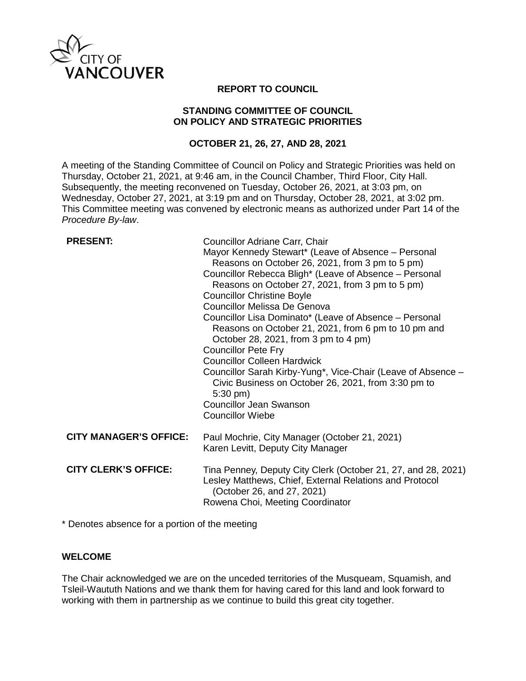

## **REPORT TO COUNCIL**

#### **STANDING COMMITTEE OF COUNCIL ON POLICY AND STRATEGIC PRIORITIES**

## **OCTOBER 21, 26, 27, AND 28, 2021**

A meeting of the Standing Committee of Council on Policy and Strategic Priorities was held on Thursday, October 21, 2021, at 9:46 am, in the Council Chamber, Third Floor, City Hall. Subsequently, the meeting reconvened on Tuesday, October 26, 2021, at 3:03 pm, on Wednesday, October 27, 2021, at 3:19 pm and on Thursday, October 28, 2021, at 3:02 pm. This Committee meeting was convened by electronic means as authorized under Part 14 of the *Procedure By-law*.

# **PRESENT:**

| Councillor Adriane Carr, Chair                                                                                                             |
|--------------------------------------------------------------------------------------------------------------------------------------------|
| Mayor Kennedy Stewart* (Leave of Absence – Personal                                                                                        |
| Reasons on October 26, 2021, from 3 pm to 5 pm)                                                                                            |
| Councillor Rebecca Bligh* (Leave of Absence – Personal                                                                                     |
| Reasons on October 27, 2021, from 3 pm to 5 pm)                                                                                            |
| <b>Councillor Christine Boyle</b>                                                                                                          |
| Councillor Melissa De Genova                                                                                                               |
| Councillor Lisa Dominato* (Leave of Absence – Personal                                                                                     |
| Reasons on October 21, 2021, from 6 pm to 10 pm and                                                                                        |
| October 28, 2021, from 3 pm to 4 pm)                                                                                                       |
| <b>Councillor Pete Fry</b>                                                                                                                 |
| <b>Councillor Colleen Hardwick</b>                                                                                                         |
| Councillor Sarah Kirby-Yung*, Vice-Chair (Leave of Absence -<br>Civic Business on October 26, 2021, from 3:30 pm to<br>$5:30 \text{ pm}$ ) |
| <b>Councillor Jean Swanson</b>                                                                                                             |
| <b>Councillor Wiebe</b>                                                                                                                    |
| Paul Mochrie, City Manager (October 21, 2021)<br>Karen Levitt, Deputy City Manager                                                         |
| Tina Penney, Deputy City Clerk (October 21, 27, and 28, 2021)<br>Lesley Matthews, Chief, External Relations and Protocol                   |
| (October 26, and 27, 2021)                                                                                                                 |
| Rowena Choi, Meeting Coordinator                                                                                                           |
|                                                                                                                                            |

\* Denotes absence for a portion of the meeting

## **WELCOME**

The Chair acknowledged we are on the unceded territories of the Musqueam, Squamish, and Tsleil-Waututh Nations and we thank them for having cared for this land and look forward to working with them in partnership as we continue to build this great city together.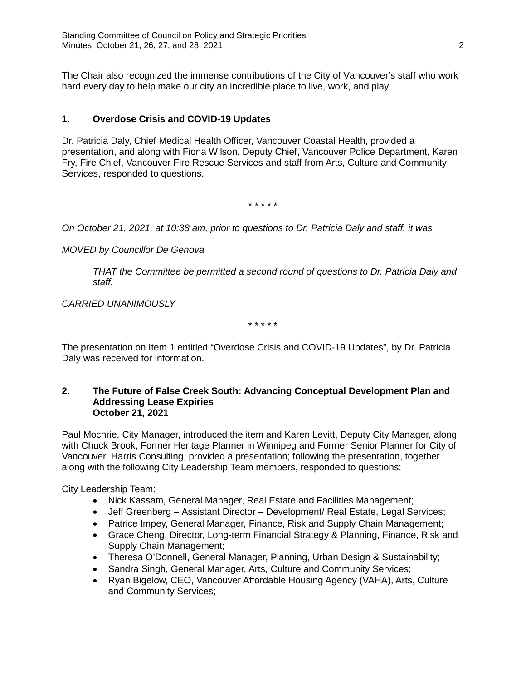The Chair also recognized the immense contributions of the City of Vancouver's staff who work hard every day to help make our city an incredible place to live, work, and play.

# **1. Overdose Crisis and COVID-19 Updates**

Dr. Patricia Daly, Chief Medical Health Officer, Vancouver Coastal Health, provided a presentation, and along with Fiona Wilson, Deputy Chief, Vancouver Police Department, Karen Fry, Fire Chief, Vancouver Fire Rescue Services and staff from Arts, Culture and Community Services, responded to questions.

\* \* \* \* \*

*On October 21, 2021, at 10:38 am, prior to questions to Dr. Patricia Daly and staff, it was*

*MOVED by Councillor De Genova*

*THAT the Committee be permitted a second round of questions to Dr. Patricia Daly and staff.* 

*CARRIED UNANIMOUSLY*

\* \* \* \* \*

The presentation on Item 1 entitled "Overdose Crisis and COVID-19 Updates", by Dr. Patricia Daly was received for information.

#### **2. The Future of False Creek South: Advancing Conceptual Development Plan and Addressing Lease Expiries October 21, 2021**

Paul Mochrie, City Manager, introduced the item and Karen Levitt, Deputy City Manager, along with Chuck Brook, Former Heritage Planner in Winnipeg and Former Senior Planner for City of Vancouver, Harris Consulting, provided a presentation; following the presentation, together along with the following City Leadership Team members, responded to questions:

City Leadership Team:

- Nick Kassam, General Manager, Real Estate and Facilities Management;
- Jeff Greenberg Assistant Director Development/ Real Estate, Legal Services;
- Patrice Impey, General Manager, Finance, Risk and Supply Chain Management;
- Grace Cheng, Director, Long-term Financial Strategy & Planning, Finance, Risk and Supply Chain Management;
- Theresa O'Donnell, General Manager, Planning, Urban Design & Sustainability;
- Sandra Singh, General Manager, Arts, Culture and Community Services;
- Ryan Bigelow, CEO, Vancouver Affordable Housing Agency (VAHA), Arts, Culture and Community Services;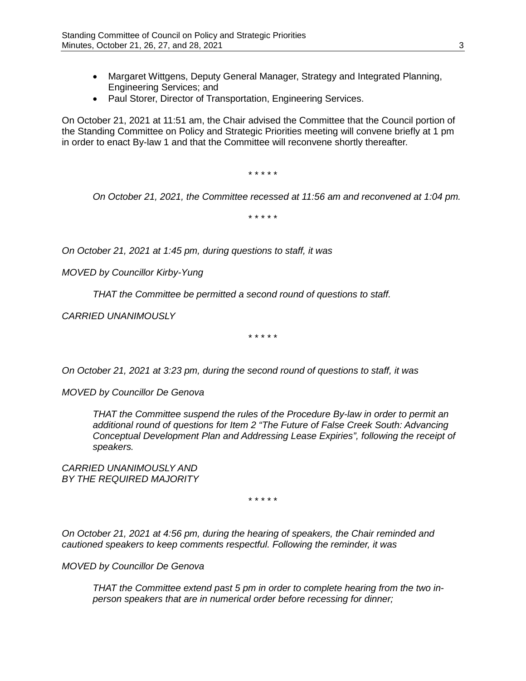- Margaret Wittgens, Deputy General Manager, Strategy and Integrated Planning, Engineering Services; and
- Paul Storer, Director of Transportation, Engineering Services.

On October 21, 2021 at 11:51 am, the Chair advised the Committee that the Council portion of the Standing Committee on Policy and Strategic Priorities meeting will convene briefly at 1 pm in order to enact By-law 1 and that the Committee will reconvene shortly thereafter.

\* \* \* \* \*

*On October 21, 2021, the Committee recessed at 11:56 am and reconvened at 1:04 pm.*

\* \* \* \* \*

*On October 21, 2021 at 1:45 pm, during questions to staff, it was*

*MOVED by Councillor Kirby-Yung*

*THAT the Committee be permitted a second round of questions to staff.*

*CARRIED UNANIMOUSLY*

\* \* \* \* \*

*On October 21, 2021 at 3:23 pm, during the second round of questions to staff, it was*

*MOVED by Councillor De Genova*

*THAT the Committee suspend the rules of the Procedure By-law in order to permit an additional round of questions for Item 2 "The Future of False Creek South: Advancing Conceptual Development Plan and Addressing Lease Expiries", following the receipt of speakers.*

*CARRIED UNANIMOUSLY AND BY THE REQUIRED MAJORITY*

\* \* \* \* \*

*On October 21, 2021 at 4:56 pm, during the hearing of speakers, the Chair reminded and cautioned speakers to keep comments respectful. Following the reminder, it was*

*MOVED by Councillor De Genova*

*THAT the Committee extend past 5 pm in order to complete hearing from the two inperson speakers that are in numerical order before recessing for dinner;*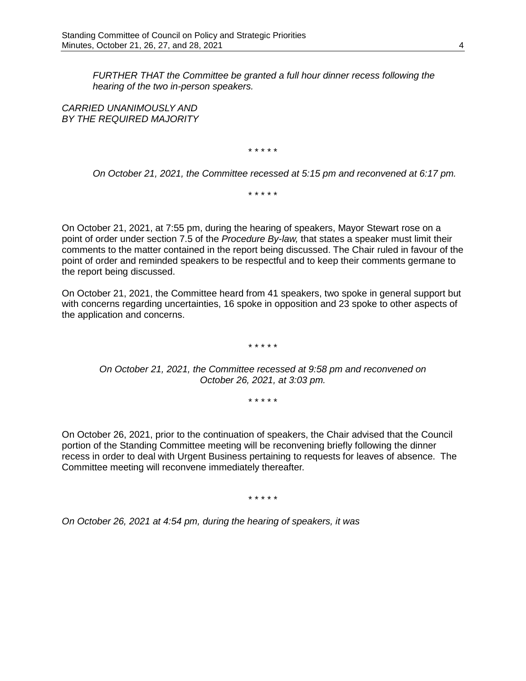*FURTHER THAT the Committee be granted a full hour dinner recess following the hearing of the two in-person speakers.*

*CARRIED UNANIMOUSLY AND BY THE REQUIRED MAJORITY*

\* \* \* \* \*

*On October 21, 2021, the Committee recessed at 5:15 pm and reconvened at 6:17 pm.*

\* \* \* \* \*

On October 21, 2021, at 7:55 pm, during the hearing of speakers, Mayor Stewart rose on a point of order under section 7.5 of the *Procedure By-law,* that states a speaker must limit their comments to the matter contained in the report being discussed. The Chair ruled in favour of the point of order and reminded speakers to be respectful and to keep their comments germane to the report being discussed.

On October 21, 2021, the Committee heard from 41 speakers, two spoke in general support but with concerns regarding uncertainties, 16 spoke in opposition and 23 spoke to other aspects of the application and concerns.

\* \* \* \* \*

*On October 21, 2021, the Committee recessed at 9:58 pm and reconvened on October 26, 2021, at 3:03 pm.*

\* \* \* \* \*

On October 26, 2021, prior to the continuation of speakers, the Chair advised that the Council portion of the Standing Committee meeting will be reconvening briefly following the dinner recess in order to deal with Urgent Business pertaining to requests for leaves of absence. The Committee meeting will reconvene immediately thereafter.

\* \* \* \* \*

*On October 26, 2021 at 4:54 pm, during the hearing of speakers, it was*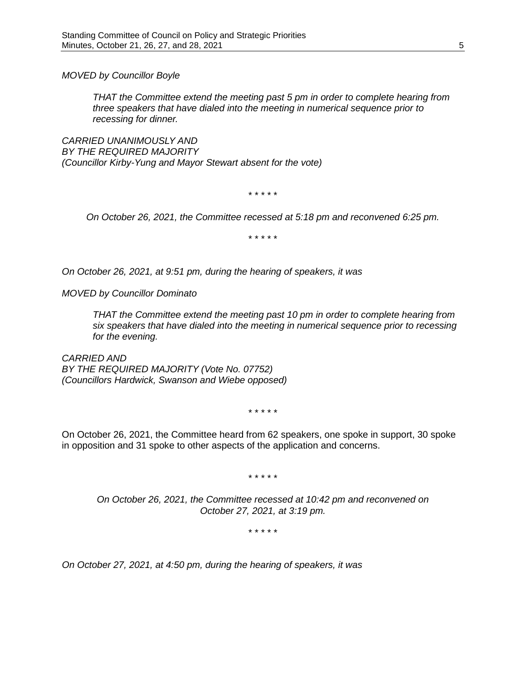*MOVED by Councillor Boyle*

*THAT the Committee extend the meeting past 5 pm in order to complete hearing from three speakers that have dialed into the meeting in numerical sequence prior to recessing for dinner.*

*CARRIED UNANIMOUSLY AND BY THE REQUIRED MAJORITY (Councillor Kirby-Yung and Mayor Stewart absent for the vote)*

\* \* \* \* \*

*On October 26, 2021, the Committee recessed at 5:18 pm and reconvened 6:25 pm.*

\* \* \* \* \*

*On October 26, 2021, at 9:51 pm, during the hearing of speakers, it was*

*MOVED by Councillor Dominato*

*THAT the Committee extend the meeting past 10 pm in order to complete hearing from six speakers that have dialed into the meeting in numerical sequence prior to recessing for the evening.*

*CARRIED AND BY THE REQUIRED MAJORITY (Vote No. 07752) (Councillors Hardwick, Swanson and Wiebe opposed)* 

\* \* \* \* \*

On October 26, 2021, the Committee heard from 62 speakers, one spoke in support, 30 spoke in opposition and 31 spoke to other aspects of the application and concerns.

\* \* \* \* \*

*On October 26, 2021, the Committee recessed at 10:42 pm and reconvened on October 27, 2021, at 3:19 pm.*

\* \* \* \* \*

*On October 27, 2021, at 4:50 pm, during the hearing of speakers, it was*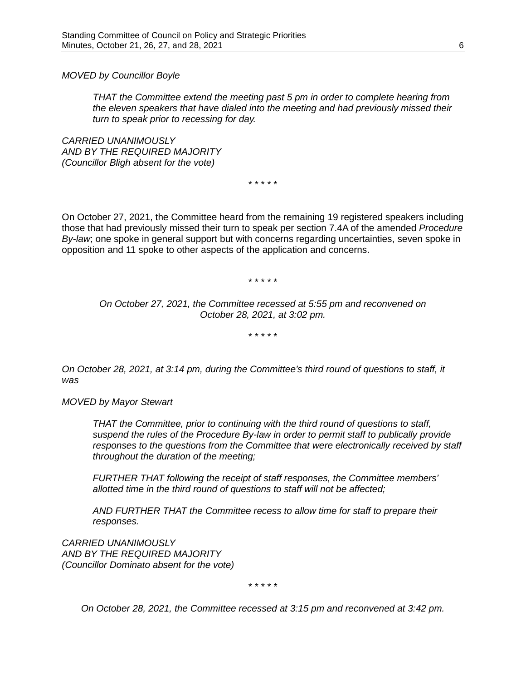*MOVED by Councillor Boyle*

*THAT the Committee extend the meeting past 5 pm in order to complete hearing from the eleven speakers that have dialed into the meeting and had previously missed their turn to speak prior to recessing for day.*

*CARRIED UNANIMOUSLY AND BY THE REQUIRED MAJORITY (Councillor Bligh absent for the vote)*

\* \* \* \* \*

On October 27, 2021, the Committee heard from the remaining 19 registered speakers including those that had previously missed their turn to speak per section 7.4A of the amended *Procedure By-law*; one spoke in general support but with concerns regarding uncertainties, seven spoke in opposition and 11 spoke to other aspects of the application and concerns.

\* \* \* \* \*

*On October 27, 2021, the Committee recessed at 5:55 pm and reconvened on October 28, 2021, at 3:02 pm.*

\* \* \* \* \*

*On October 28, 2021, at 3:14 pm, during the Committee's third round of questions to staff, it was*

*MOVED by Mayor Stewart*

*THAT the Committee, prior to continuing with the third round of questions to staff, suspend the rules of the Procedure By-law in order to permit staff to publically provide responses to the questions from the Committee that were electronically received by staff throughout the duration of the meeting;* 

*FURTHER THAT following the receipt of staff responses, the Committee members' allotted time in the third round of questions to staff will not be affected;*

*AND FURTHER THAT the Committee recess to allow time for staff to prepare their responses.*

*CARRIED UNANIMOUSLY AND BY THE REQUIRED MAJORITY (Councillor Dominato absent for the vote)*

\* \* \* \* \*

*On October 28, 2021, the Committee recessed at 3:15 pm and reconvened at 3:42 pm.*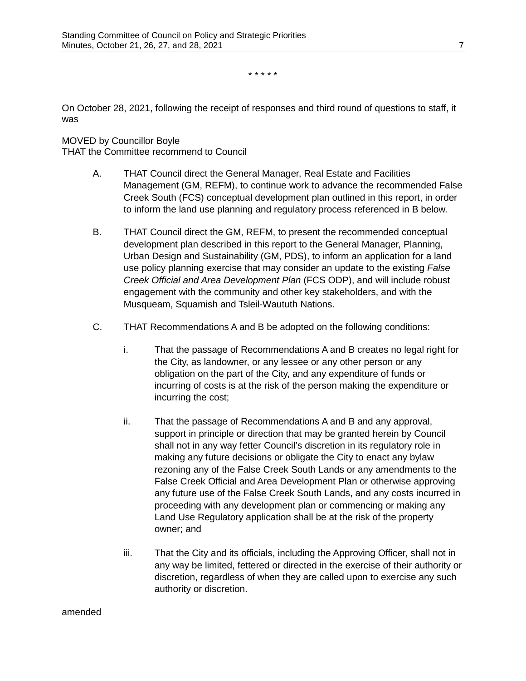\* \* \* \* \*

On October 28, 2021, following the receipt of responses and third round of questions to staff, it was

### MOVED by Councillor Boyle

THAT the Committee recommend to Council

- A. THAT Council direct the General Manager, Real Estate and Facilities Management (GM, REFM), to continue work to advance the recommended False Creek South (FCS) conceptual development plan outlined in this report, in order to inform the land use planning and regulatory process referenced in B below.
- B. THAT Council direct the GM, REFM, to present the recommended conceptual development plan described in this report to the General Manager, Planning, Urban Design and Sustainability (GM, PDS), to inform an application for a land use policy planning exercise that may consider an update to the existing *False Creek Official and Area Development Plan* (FCS ODP), and will include robust engagement with the community and other key stakeholders, and with the Musqueam, Squamish and Tsleil-Waututh Nations.
- C. THAT Recommendations A and B be adopted on the following conditions:
	- i. That the passage of Recommendations A and B creates no legal right for the City, as landowner, or any lessee or any other person or any obligation on the part of the City, and any expenditure of funds or incurring of costs is at the risk of the person making the expenditure or incurring the cost;
	- ii. That the passage of Recommendations A and B and any approval, support in principle or direction that may be granted herein by Council shall not in any way fetter Council's discretion in its regulatory role in making any future decisions or obligate the City to enact any bylaw rezoning any of the False Creek South Lands or any amendments to the False Creek Official and Area Development Plan or otherwise approving any future use of the False Creek South Lands, and any costs incurred in proceeding with any development plan or commencing or making any Land Use Regulatory application shall be at the risk of the property owner; and
	- iii. That the City and its officials, including the Approving Officer, shall not in any way be limited, fettered or directed in the exercise of their authority or discretion, regardless of when they are called upon to exercise any such authority or discretion.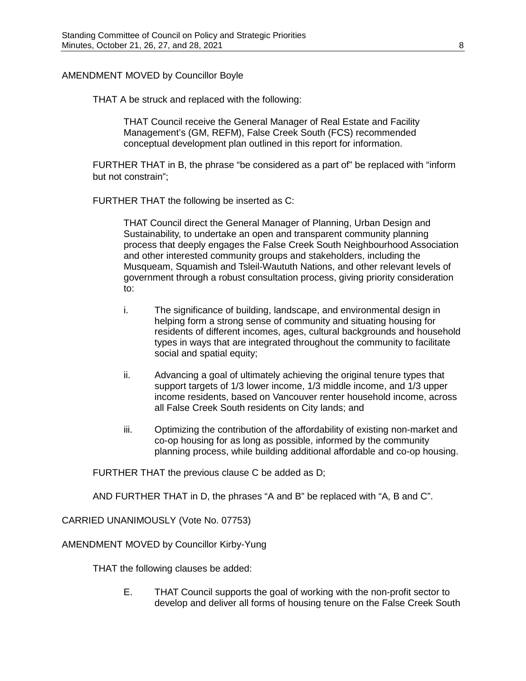### AMENDMENT MOVED by Councillor Boyle

THAT A be struck and replaced with the following:

THAT Council receive the General Manager of Real Estate and Facility Management's (GM, REFM), False Creek South (FCS) recommended conceptual development plan outlined in this report for information.

FURTHER THAT in B, the phrase "be considered as a part of" be replaced with "inform but not constrain";

FURTHER THAT the following be inserted as C:

THAT Council direct the General Manager of Planning, Urban Design and Sustainability, to undertake an open and transparent community planning process that deeply engages the False Creek South Neighbourhood Association and other interested community groups and stakeholders, including the Musqueam, Squamish and Tsleil-Waututh Nations, and other relevant levels of government through a robust consultation process, giving priority consideration to:

- i. The significance of building, landscape, and environmental design in helping form a strong sense of community and situating housing for residents of different incomes, ages, cultural backgrounds and household types in ways that are integrated throughout the community to facilitate social and spatial equity;
- ii. Advancing a goal of ultimately achieving the original tenure types that support targets of 1/3 lower income, 1/3 middle income, and 1/3 upper income residents, based on Vancouver renter household income, across all False Creek South residents on City lands; and
- iii. Optimizing the contribution of the affordability of existing non-market and co-op housing for as long as possible, informed by the community planning process, while building additional affordable and co-op housing.

FURTHER THAT the previous clause C be added as D;

AND FURTHER THAT in D, the phrases "A and B" be replaced with "A, B and C".

CARRIED UNANIMOUSLY (Vote No. 07753)

AMENDMENT MOVED by Councillor Kirby-Yung

THAT the following clauses be added:

E. THAT Council supports the goal of working with the non-profit sector to develop and deliver all forms of housing tenure on the False Creek South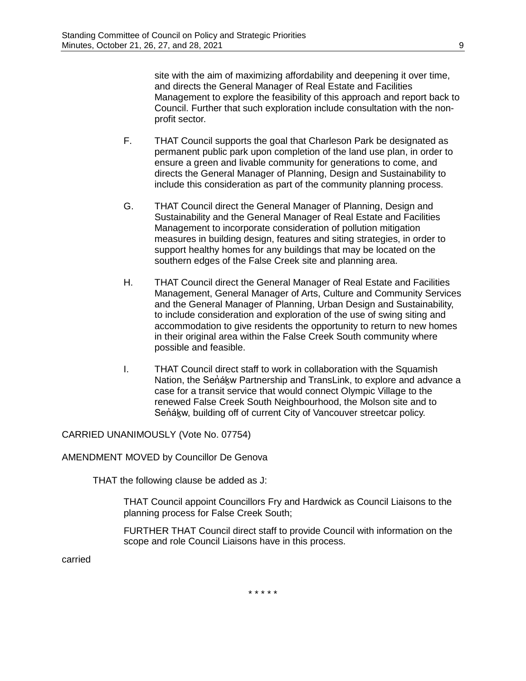site with the aim of maximizing affordability and deepening it over time, and directs the General Manager of Real Estate and Facilities Management to explore the feasibility of this approach and report back to Council. Further that such exploration include consultation with the nonprofit sector.

- F. THAT Council supports the goal that Charleson Park be designated as permanent public park upon completion of the land use plan, in order to ensure a green and livable community for generations to come, and directs the General Manager of Planning, Design and Sustainability to include this consideration as part of the community planning process.
- G. THAT Council direct the General Manager of Planning, Design and Sustainability and the General Manager of Real Estate and Facilities Management to incorporate consideration of pollution mitigation measures in building design, features and siting strategies, in order to support healthy homes for any buildings that may be located on the southern edges of the False Creek site and planning area.
- H. THAT Council direct the General Manager of Real Estate and Facilities Management, General Manager of Arts, Culture and Community Services and the General Manager of Planning, Urban Design and Sustainability, to include consideration and exploration of the use of swing siting and accommodation to give residents the opportunity to return to new homes in their original area within the False Creek South community where possible and feasible.
- I. THAT Council direct staff to work in collaboration with the Squamish Nation, the Senakw Partnership and TransLink, to explore and advance a case for a transit service that would connect Olympic Village to the renewed False Creek South Neighbourhood, the Molson site and to Senakw, building off of current City of Vancouver streetcar policy.

CARRIED UNANIMOUSLY (Vote No. 07754)

AMENDMENT MOVED by Councillor De Genova

THAT the following clause be added as J:

THAT Council appoint Councillors Fry and Hardwick as Council Liaisons to the planning process for False Creek South;

FURTHER THAT Council direct staff to provide Council with information on the scope and role Council Liaisons have in this process.

\* \* \* \* \*

carried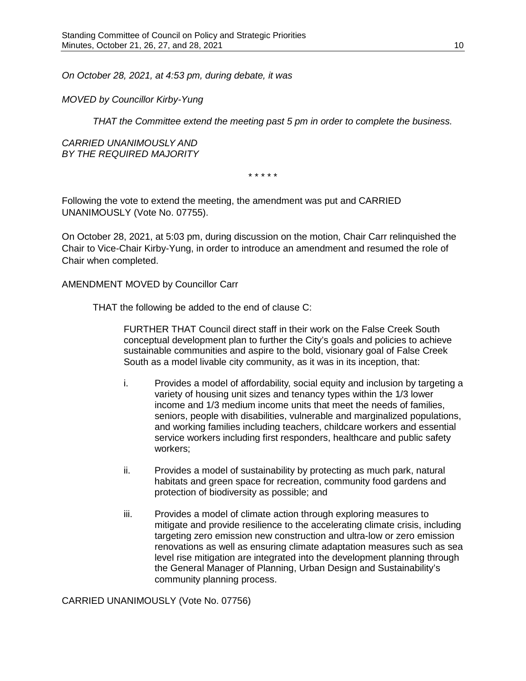*On October 28, 2021, at 4:53 pm, during debate, it was*

*MOVED by Councillor Kirby-Yung*

*THAT the Committee extend the meeting past 5 pm in order to complete the business.*

*CARRIED UNANIMOUSLY AND BY THE REQUIRED MAJORITY*

\* \* \* \* \*

Following the vote to extend the meeting, the amendment was put and CARRIED UNANIMOUSLY (Vote No. 07755).

On October 28, 2021, at 5:03 pm, during discussion on the motion, Chair Carr relinquished the Chair to Vice-Chair Kirby-Yung, in order to introduce an amendment and resumed the role of Chair when completed.

#### AMENDMENT MOVED by Councillor Carr

THAT the following be added to the end of clause C:

FURTHER THAT Council direct staff in their work on the False Creek South conceptual development plan to further the City's goals and policies to achieve sustainable communities and aspire to the bold, visionary goal of False Creek South as a model livable city community, as it was in its inception, that:

- i. Provides a model of affordability, social equity and inclusion by targeting a variety of housing unit sizes and tenancy types within the 1/3 lower income and 1/3 medium income units that meet the needs of families, seniors, people with disabilities, vulnerable and marginalized populations, and working families including teachers, childcare workers and essential service workers including first responders, healthcare and public safety workers;
- ii. Provides a model of sustainability by protecting as much park, natural habitats and green space for recreation, community food gardens and protection of biodiversity as possible; and
- iii. Provides a model of climate action through exploring measures to mitigate and provide resilience to the accelerating climate crisis, including targeting zero emission new construction and ultra-low or zero emission renovations as well as ensuring climate adaptation measures such as sea level rise mitigation are integrated into the development planning through the General Manager of Planning, Urban Design and Sustainability's community planning process.

CARRIED UNANIMOUSLY (Vote No. 07756)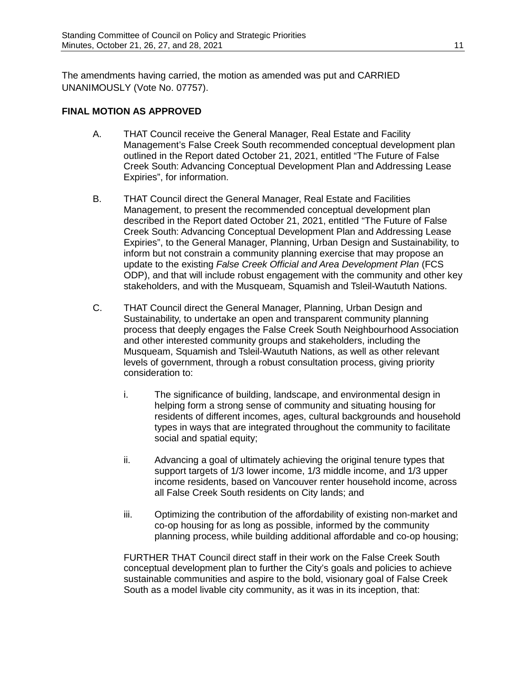The amendments having carried, the motion as amended was put and CARRIED UNANIMOUSLY (Vote No. 07757).

## **FINAL MOTION AS APPROVED**

- A. THAT Council receive the General Manager, Real Estate and Facility Management's False Creek South recommended conceptual development plan outlined in the Report dated October 21, 2021, entitled "The Future of False Creek South: Advancing Conceptual Development Plan and Addressing Lease Expiries", for information.
- B. THAT Council direct the General Manager, Real Estate and Facilities Management, to present the recommended conceptual development plan described in the Report dated October 21, 2021, entitled "The Future of False Creek South: Advancing Conceptual Development Plan and Addressing Lease Expiries", to the General Manager, Planning, Urban Design and Sustainability, to inform but not constrain a community planning exercise that may propose an update to the existing *False Creek Official and Area Development Plan* (FCS ODP), and that will include robust engagement with the community and other key stakeholders, and with the Musqueam, Squamish and Tsleil-Waututh Nations.
- C. THAT Council direct the General Manager, Planning, Urban Design and Sustainability, to undertake an open and transparent community planning process that deeply engages the False Creek South Neighbourhood Association and other interested community groups and stakeholders, including the Musqueam, Squamish and Tsleil-Waututh Nations, as well as other relevant levels of government, through a robust consultation process, giving priority consideration to:
	- i. The significance of building, landscape, and environmental design in helping form a strong sense of community and situating housing for residents of different incomes, ages, cultural backgrounds and household types in ways that are integrated throughout the community to facilitate social and spatial equity;
	- ii. Advancing a goal of ultimately achieving the original tenure types that support targets of 1/3 lower income, 1/3 middle income, and 1/3 upper income residents, based on Vancouver renter household income, across all False Creek South residents on City lands; and
	- iii. Optimizing the contribution of the affordability of existing non-market and co-op housing for as long as possible, informed by the community planning process, while building additional affordable and co-op housing;

FURTHER THAT Council direct staff in their work on the False Creek South conceptual development plan to further the City's goals and policies to achieve sustainable communities and aspire to the bold, visionary goal of False Creek South as a model livable city community, as it was in its inception, that: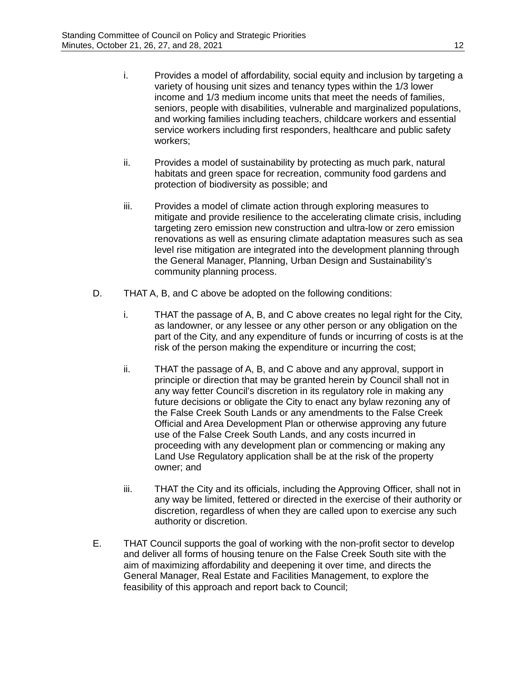- i. Provides a model of affordability, social equity and inclusion by targeting a variety of housing unit sizes and tenancy types within the 1/3 lower income and 1/3 medium income units that meet the needs of families, seniors, people with disabilities, vulnerable and marginalized populations, and working families including teachers, childcare workers and essential service workers including first responders, healthcare and public safety workers;
- ii. Provides a model of sustainability by protecting as much park, natural habitats and green space for recreation, community food gardens and protection of biodiversity as possible; and
- iii. Provides a model of climate action through exploring measures to mitigate and provide resilience to the accelerating climate crisis, including targeting zero emission new construction and ultra-low or zero emission renovations as well as ensuring climate adaptation measures such as sea level rise mitigation are integrated into the development planning through the General Manager, Planning, Urban Design and Sustainability's community planning process.
- D. THAT A, B, and C above be adopted on the following conditions:
	- i. THAT the passage of A, B, and C above creates no legal right for the City, as landowner, or any lessee or any other person or any obligation on the part of the City, and any expenditure of funds or incurring of costs is at the risk of the person making the expenditure or incurring the cost;
	- ii. THAT the passage of A, B, and C above and any approval, support in principle or direction that may be granted herein by Council shall not in any way fetter Council's discretion in its regulatory role in making any future decisions or obligate the City to enact any bylaw rezoning any of the False Creek South Lands or any amendments to the False Creek Official and Area Development Plan or otherwise approving any future use of the False Creek South Lands, and any costs incurred in proceeding with any development plan or commencing or making any Land Use Regulatory application shall be at the risk of the property owner; and
	- iii. THAT the City and its officials, including the Approving Officer, shall not in any way be limited, fettered or directed in the exercise of their authority or discretion, regardless of when they are called upon to exercise any such authority or discretion.
- E. THAT Council supports the goal of working with the non-profit sector to develop and deliver all forms of housing tenure on the False Creek South site with the aim of maximizing affordability and deepening it over time, and directs the General Manager, Real Estate and Facilities Management, to explore the feasibility of this approach and report back to Council;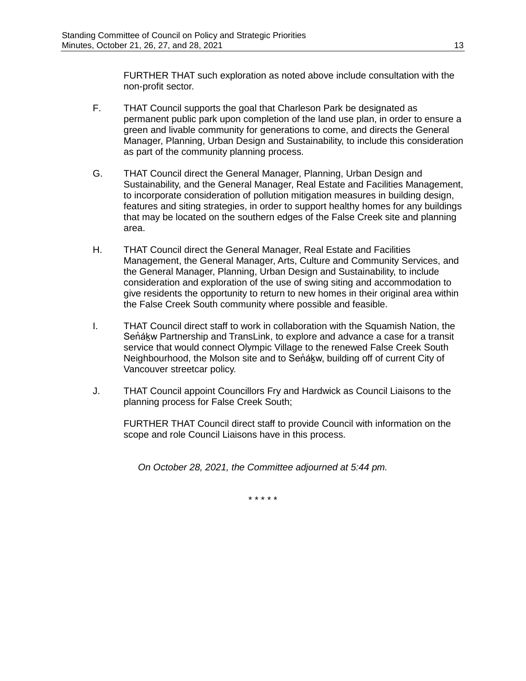FURTHER THAT such exploration as noted above include consultation with the non-profit sector.

- F. THAT Council supports the goal that Charleson Park be designated as permanent public park upon completion of the land use plan, in order to ensure a green and livable community for generations to come, and directs the General Manager, Planning, Urban Design and Sustainability, to include this consideration as part of the community planning process.
- G. THAT Council direct the General Manager, Planning, Urban Design and Sustainability, and the General Manager, Real Estate and Facilities Management, to incorporate consideration of pollution mitigation measures in building design, features and siting strategies, in order to support healthy homes for any buildings that may be located on the southern edges of the False Creek site and planning area.
- H. THAT Council direct the General Manager, Real Estate and Facilities Management, the General Manager, Arts, Culture and Community Services, and the General Manager, Planning, Urban Design and Sustainability, to include consideration and exploration of the use of swing siting and accommodation to give residents the opportunity to return to new homes in their original area within the False Creek South community where possible and feasible.
- I. THAT Council direct staff to work in collaboration with the Squamish Nation, the Senákw Partnership and TransLink, to explore and advance a case for a transit service that would connect Olympic Village to the renewed False Creek South Neighbourhood, the Molson site and to Senakw, building off of current City of Vancouver streetcar policy.
- J. THAT Council appoint Councillors Fry and Hardwick as Council Liaisons to the planning process for False Creek South;

FURTHER THAT Council direct staff to provide Council with information on the scope and role Council Liaisons have in this process.

*On October 28, 2021, the Committee adjourned at 5:44 pm.*

\* \* \* \* \*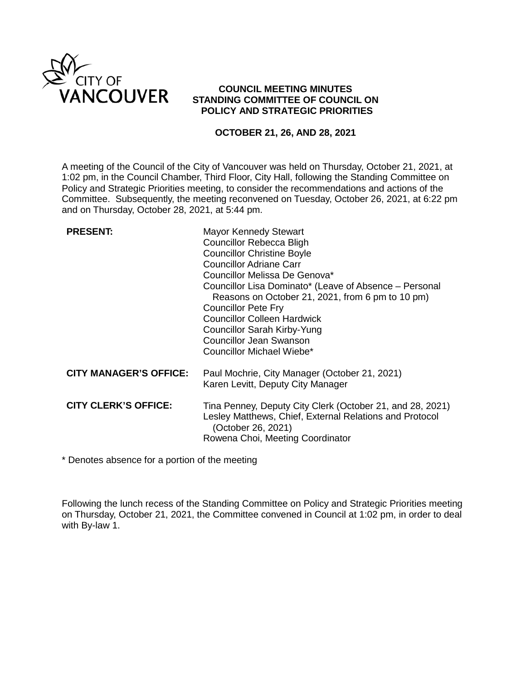

# **COUNCIL MEETING MINUTES STANDING COMMITTEE OF COUNCIL ON POLICY AND STRATEGIC PRIORITIES**

## **OCTOBER 21, 26, AND 28, 2021**

A meeting of the Council of the City of Vancouver was held on Thursday, October 21, 2021, at 1:02 pm, in the Council Chamber, Third Floor, City Hall, following the Standing Committee on Policy and Strategic Priorities meeting, to consider the recommendations and actions of the Committee. Subsequently, the meeting reconvened on Tuesday, October 26, 2021, at 6:22 pm and on Thursday, October 28, 2021, at 5:44 pm.

| <b>PRESENT:</b>               | <b>Mayor Kennedy Stewart</b><br>Councillor Rebecca Bligh<br><b>Councillor Christine Boyle</b><br><b>Councillor Adriane Carr</b><br>Councillor Melissa De Genova*<br>Councillor Lisa Dominato* (Leave of Absence – Personal<br>Reasons on October 21, 2021, from 6 pm to 10 pm)<br><b>Councillor Pete Fry</b><br><b>Councillor Colleen Hardwick</b><br><b>Councillor Sarah Kirby-Yung</b><br>Councillor Jean Swanson<br>Councillor Michael Wiebe* |
|-------------------------------|--------------------------------------------------------------------------------------------------------------------------------------------------------------------------------------------------------------------------------------------------------------------------------------------------------------------------------------------------------------------------------------------------------------------------------------------------|
| <b>CITY MANAGER'S OFFICE:</b> | Paul Mochrie, City Manager (October 21, 2021)<br>Karen Levitt, Deputy City Manager                                                                                                                                                                                                                                                                                                                                                               |
| <b>CITY CLERK'S OFFICE:</b>   | Tina Penney, Deputy City Clerk (October 21, and 28, 2021)<br>Lesley Matthews, Chief, External Relations and Protocol<br>(October 26, 2021)<br>Rowena Choi, Meeting Coordinator                                                                                                                                                                                                                                                                   |

\* Denotes absence for a portion of the meeting

Following the lunch recess of the Standing Committee on Policy and Strategic Priorities meeting on Thursday, October 21, 2021, the Committee convened in Council at 1:02 pm, in order to deal with By-law 1.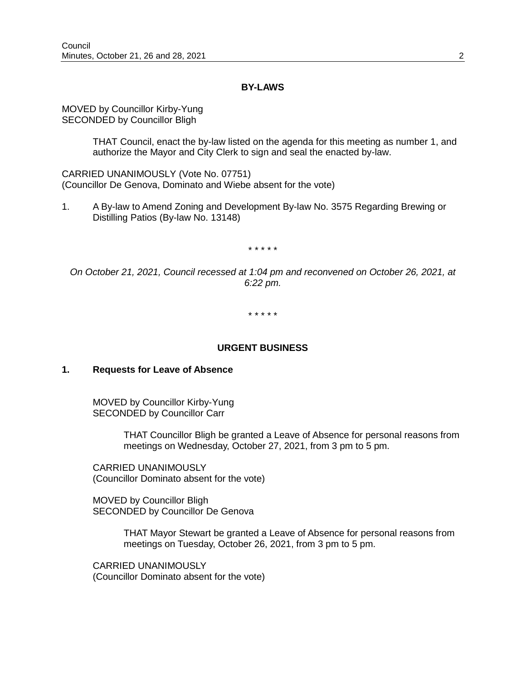#### **BY-LAWS**

MOVED by Councillor Kirby-Yung SECONDED by Councillor Bligh

> THAT Council, enact the by-law listed on the agenda for this meeting as number 1, and authorize the Mayor and City Clerk to sign and seal the enacted by-law.

CARRIED UNANIMOUSLY (Vote No. 07751) (Councillor De Genova, Dominato and Wiebe absent for the vote)

1. A By-law to Amend Zoning and Development By-law No. 3575 Regarding Brewing or Distilling Patios (By-law No. 13148)

\* \* \* \* \*

*On October 21, 2021, Council recessed at 1:04 pm and reconvened on October 26, 2021, at 6:22 pm.*

\* \* \* \* \*

#### **URGENT BUSINESS**

## **1. Requests for Leave of Absence**

MOVED by Councillor Kirby-Yung SECONDED by Councillor Carr

> THAT Councillor Bligh be granted a Leave of Absence for personal reasons from meetings on Wednesday, October 27, 2021, from 3 pm to 5 pm.

CARRIED UNANIMOUSLY (Councillor Dominato absent for the vote)

MOVED by Councillor Bligh SECONDED by Councillor De Genova

> THAT Mayor Stewart be granted a Leave of Absence for personal reasons from meetings on Tuesday, October 26, 2021, from 3 pm to 5 pm.

CARRIED UNANIMOUSLY (Councillor Dominato absent for the vote)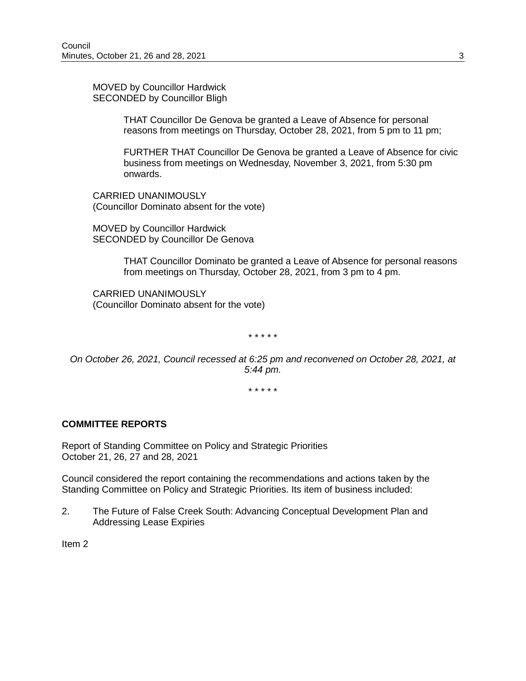MOVED by Councillor Hardwick SECONDED by Councillor Bligh

> THAT Councillor De Genova be granted a Leave of Absence for personal reasons from meetings on Thursday, October 28, 2021, from 5 pm to 11 pm;

FURTHER THAT Councillor De Genova be granted a Leave of Absence for civic business from meetings on Wednesday, November 3, 2021, from 5:30 pm onwards.

CARRIED UNANIMOUSLY (Councillor Dominato absent for the vote)

MOVED by Councillor Hardwick SECONDED by Councillor De Genova

> THAT Councillor Dominato be granted a Leave of Absence for personal reasons from meetings on Thursday, October 28, 2021, from 3 pm to 4 pm.

CARRIED UNANIMOUSLY (Councillor Dominato absent for the vote)

\* \* \* \* \*

*On October 26, 2021, Council recessed at 6:25 pm and reconvened on October 28, 2021, at 5:44 pm.*

\* \* \* \* \*

#### **COMMITTEE REPORTS**

Report of Standing Committee on Policy and Strategic Priorities October 21, 26, 27 and 28, 2021

Council considered the report containing the recommendations and actions taken by the Standing Committee on Policy and Strategic Priorities. Its item of business included:

2. The Future of False Creek South: Advancing Conceptual Development Plan and Addressing Lease Expiries

Item 2